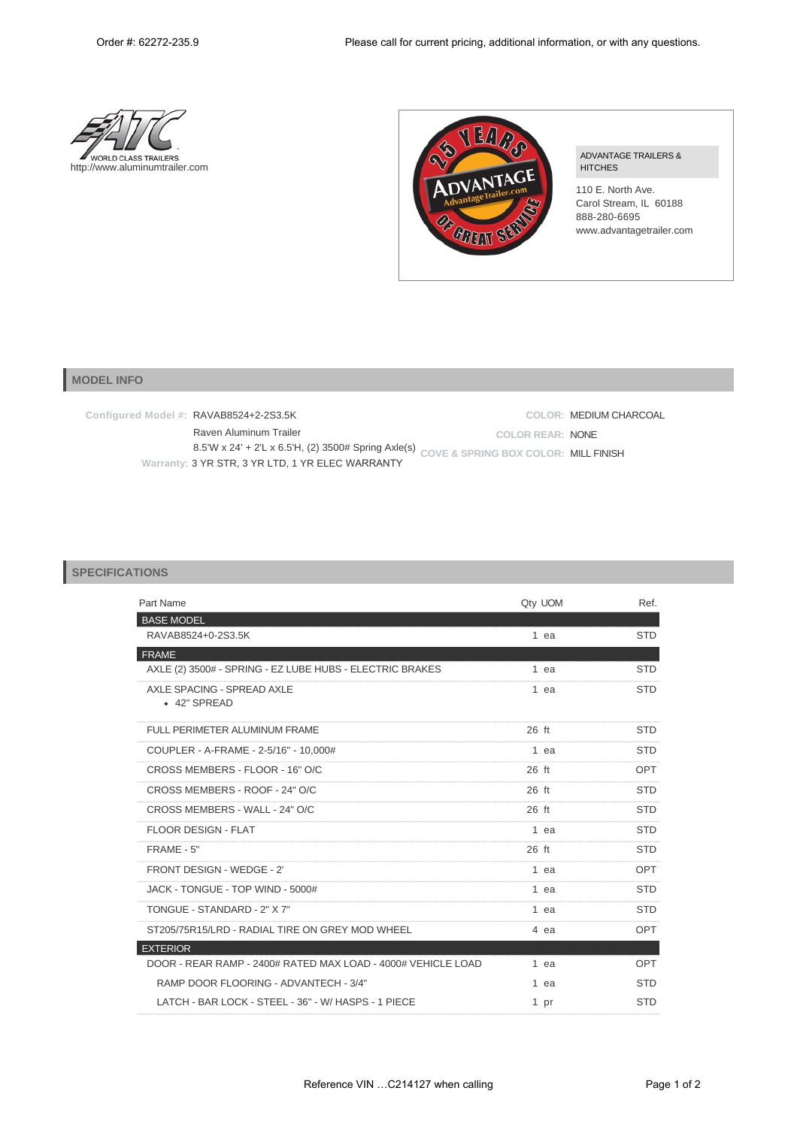



## ADVANTAGE TRAILERS & HITCHES

110 E. North Ave. Carol Stream, IL 60188 888-280-6695 www.advantagetrailer.com

## **MODEL INFO**

**Configured Model #:** RAVAB8524+2-2S3.5K Raven Aluminum Trailer 8.5'W x 24' + 2'L x 6.5'H, (2) 3500# Spring Axle(s) **COVE & SPRING BOX COLOR:** MILL FINISH **Warranty:** 3 YR STR, 3 YR LTD, 1 YR ELEC WARRANTY **COLOR:** MEDIUM CHARCOAL **COLOR REAR:** NONE

## **SPECIFICATIONS**

| Part Name                                                    | Qty UOM | Ref.       |
|--------------------------------------------------------------|---------|------------|
| <b>BASE MODEL</b>                                            |         |            |
| RAVAB8524+0-2S3.5K                                           | 1 ea    | <b>STD</b> |
| <b>FRAME</b>                                                 |         |            |
| AXLE (2) 3500# - SPRING - EZ LUBE HUBS - ELECTRIC BRAKES     | $1$ ea  | <b>STD</b> |
| AXLE SPACING - SPREAD AXLE<br>• 42" SPREAD                   | 1 ea    | <b>STD</b> |
| FULL PERIMETER ALUMINUM FRAME                                | $26$ ft | <b>STD</b> |
| COUPLER - A-FRAME - 2-5/16" - 10,000#                        | 1 ea    | <b>STD</b> |
| CROSS MEMBERS - FLOOR - 16" O/C                              | $26$ ft | OPT        |
| CROSS MEMBERS - ROOF - 24" O/C                               | $26$ ft | <b>STD</b> |
| CROSS MEMBERS - WALL - 24" O/C                               | 26 ft   | <b>STD</b> |
| <b>FLOOR DESIGN - FLAT</b>                                   | 1 ea    | <b>STD</b> |
| FRAME - 5"                                                   | $26$ ft | <b>STD</b> |
| FRONT DESIGN - WEDGE - 2'                                    | 1 ea    | OPT        |
| JACK - TONGUE - TOP WIND - 5000#                             | 1 ea    | <b>STD</b> |
| TONGUE - STANDARD - 2" X 7"                                  | 1 ea    | <b>STD</b> |
| ST205/75R15/LRD - RADIAL TIRE ON GREY MOD WHEEL              | 4 ea    | OPT        |
| <b>EXTERIOR</b>                                              |         |            |
| DOOR - REAR RAMP - 2400# RATED MAX LOAD - 4000# VEHICLE LOAD | $1$ ea  | OPT        |
| RAMP DOOR FLOORING - ADVANTECH - 3/4"                        | 1 ea    | <b>STD</b> |
| LATCH - BAR LOCK - STEEL - 36" - W/ HASPS - 1 PIECE          | 1 pr    | <b>STD</b> |